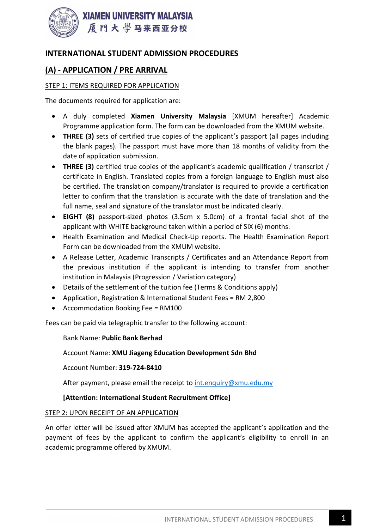

# INTERNATIONAL STUDENT ADMISSION PROCEDURES

# (A) - APPLICATION / PRE ARRIVAL

## STEP 1: ITEMS REQUIRED FOR APPLICATION

The documents required for application are:

- A duly completed Xiamen University Malaysia [XMUM hereafter] Academic Programme application form. The form can be downloaded from the XMUM website.
- THREE (3) sets of certified true copies of the applicant's passport (all pages including the blank pages). The passport must have more than 18 months of validity from the date of application submission.
- THREE (3) certified true copies of the applicant's academic qualification / transcript / certificate in English. Translated copies from a foreign language to English must also be certified. The translation company/translator is required to provide a certification letter to confirm that the translation is accurate with the date of translation and the full name, seal and signature of the translator must be indicated clearly.
- EIGHT (8) passport-sized photos (3.5cm x 5.0cm) of a frontal facial shot of the applicant with WHITE background taken within a period of SIX (6) months.
- Health Examination and Medical Check-Up reports. The Health Examination Report Form can be downloaded from the XMUM website.
- A Release Letter, Academic Transcripts / Certificates and an Attendance Report from the previous institution if the applicant is intending to transfer from another institution in Malaysia (Progression / Variation category)
- Details of the settlement of the tuition fee (Terms & Conditions apply)
- Application, Registration & International Student Fees = RM 2,800
- Accommodation Booking Fee = RM100

Fees can be paid via telegraphic transfer to the following account:

### Bank Name: Public Bank Berhad

Account Name: XMU Jiageng Education Development Sdn Bhd

Account Number: 319-724-8410

After payment, please email the receipt to int.enquiry@xmu.edu.my

## [Attention: International Student Recruitment Office]

### STEP 2: UPON RECEIPT OF AN APPLICATION

An offer letter will be issued after XMUM has accepted the applicant's application and the payment of fees by the applicant to confirm the applicant's eligibility to enroll in an academic programme offered by XMUM.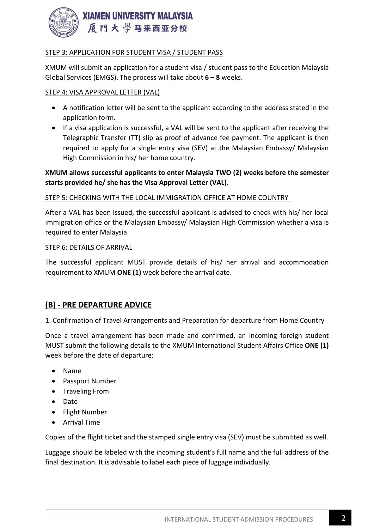

## STEP 3: APPLICATION FOR STUDENT VISA / STUDENT PASS

XMUM will submit an application for a student visa / student pass to the Education Malaysia Global Services (EMGS). The process will take about  $6 - 8$  weeks.

### STEP 4: VISA APPROVAL LETTER (VAL)

- A notification letter will be sent to the applicant according to the address stated in the application form.
- If a visa application is successful, a VAL will be sent to the applicant after receiving the Telegraphic Transfer (TT) slip as proof of advance fee payment. The applicant is then required to apply for a single entry visa (SEV) at the Malaysian Embassy/ Malaysian High Commission in his/ her home country.

## XMUM allows successful applicants to enter Malaysia TWO (2) weeks before the semester starts provided he/ she has the Visa Approval Letter (VAL).

### STEP 5: CHECKING WITH THE LOCAL IMMIGRATION OFFICE AT HOME COUNTRY

After a VAL has been issued, the successful applicant is advised to check with his/ her local immigration office or the Malaysian Embassy/ Malaysian High Commission whether a visa is required to enter Malaysia.

### STEP 6: DETAILS OF ARRIVAL

The successful applicant MUST provide details of his/ her arrival and accommodation requirement to XMUM ONE (1) week before the arrival date.

## (B) - PRE DEPARTURE ADVICE

1. Confirmation of Travel Arrangements and Preparation for departure from Home Country

Once a travel arrangement has been made and confirmed, an incoming foreign student MUST submit the following details to the XMUM International Student Affairs Office ONE (1) week before the date of departure:

- Name
- Passport Number
- Traveling From
- Date
- Flight Number
- Arrival Time

Copies of the flight ticket and the stamped single entry visa (SEV) must be submitted as well.

Luggage should be labeled with the incoming student's full name and the full address of the final destination. It is advisable to label each piece of luggage individually.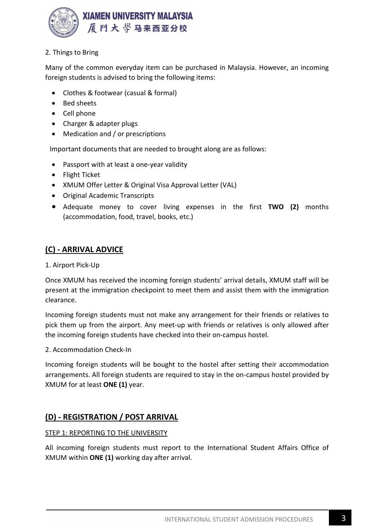

## 2. Things to Bring

Many of the common everyday item can be purchased in Malaysia. However, an incoming foreign students is advised to bring the following items:

- Clothes & footwear (casual & formal)
- Bed sheets
- Cell phone
- Charger & adapter plugs
- Medication and / or prescriptions

Important documents that are needed to brought along are as follows:

- Passport with at least a one-year validity
- Flight Ticket
- XMUM Offer Letter & Original Visa Approval Letter (VAL)
- Original Academic Transcripts
- Adequate money to cover living expenses in the first TWO (2) months (accommodation, food, travel, books, etc.)

# (C) - ARRIVAL ADVICE

### 1. Airport Pick-Up

Once XMUM has received the incoming foreign students' arrival details, XMUM staff will be present at the immigration checkpoint to meet them and assist them with the immigration clearance.

Incoming foreign students must not make any arrangement for their friends or relatives to pick them up from the airport. Any meet-up with friends or relatives is only allowed after the incoming foreign students have checked into their on-campus hostel.

2. Accommodation Check-In

Incoming foreign students will be bought to the hostel after setting their accommodation arrangements. All foreign students are required to stay in the on-campus hostel provided by XMUM for at least ONE (1) year.

# (D) - REGISTRATION / POST ARRIVAL

## STEP 1: REPORTING TO THE UNIVERSITY

All incoming foreign students must report to the International Student Affairs Office of XMUM within ONE (1) working day after arrival.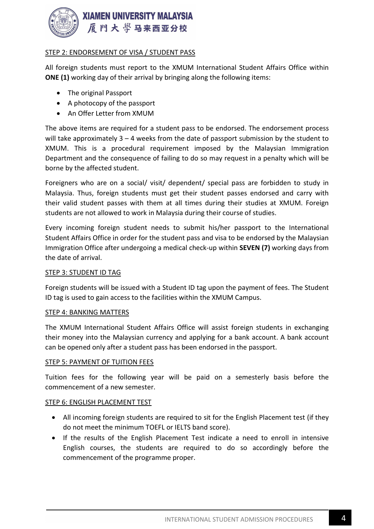

## STEP 2: ENDORSEMENT OF VISA / STUDENT PASS

All foreign students must report to the XMUM International Student Affairs Office within ONE (1) working day of their arrival by bringing along the following items:

- The original Passport
- A photocopy of the passport
- An Offer Letter from XMUM

The above items are required for a student pass to be endorsed. The endorsement process will take approximately  $3 - 4$  weeks from the date of passport submission by the student to XMUM. This is a procedural requirement imposed by the Malaysian Immigration Department and the consequence of failing to do so may request in a penalty which will be borne by the affected student.

Foreigners who are on a social/ visit/ dependent/ special pass are forbidden to study in Malaysia. Thus, foreign students must get their student passes endorsed and carry with their valid student passes with them at all times during their studies at XMUM. Foreign students are not allowed to work in Malaysia during their course of studies.

Every incoming foreign student needs to submit his/her passport to the International Student Affairs Office in order for the student pass and visa to be endorsed by the Malaysian Immigration Office after undergoing a medical check-up within SEVEN (7) working days from the date of arrival.

### STEP 3: STUDENT ID TAG

Foreign students will be issued with a Student ID tag upon the payment of fees. The Student ID tag is used to gain access to the facilities within the XMUM Campus.

### STEP 4: BANKING MATTERS

The XMUM International Student Affairs Office will assist foreign students in exchanging their money into the Malaysian currency and applying for a bank account. A bank account can be opened only after a student pass has been endorsed in the passport.

### STEP 5: PAYMENT OF TUITION FEES

Tuition fees for the following year will be paid on a semesterly basis before the commencement of a new semester.

### STEP 6: ENGLISH PLACEMENT TEST

- All incoming foreign students are required to sit for the English Placement test (if they do not meet the minimum TOEFL or IELTS band score).
- If the results of the English Placement Test indicate a need to enroll in intensive English courses, the students are required to do so accordingly before the commencement of the programme proper.